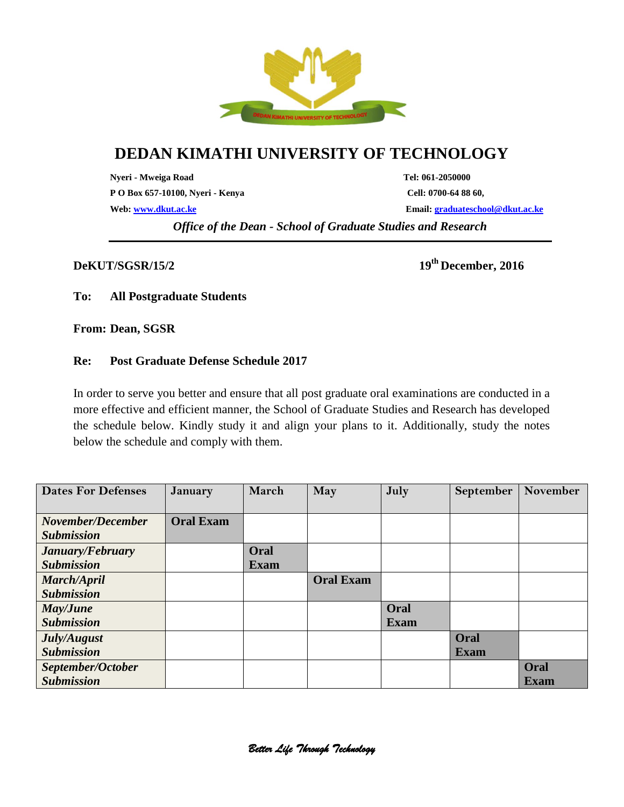

# **DEDAN KIMATHI UNIVERSITY OF TECHNOLOGY**

**Nyeri - Mweiga Road Tel: 061-2050000 P O Box 657-10100, Nyeri - Kenya Cell: 0700-64 88 60,**

**Web: [www.dkut.ac.ke](http://www.dkut.ac.ke/) Email[: graduateschool@dkut.ac.ke](mailto:graduateschool@dkut.ac.ke)**

*Office of the Dean - School of Graduate Studies and Research*

#### **DeKUT/SGSR/15/2**

**th December, 2016**

### **To: All Postgraduate Students**

**From: Dean, SGSR** 

### **Re: Post Graduate Defense Schedule 2017**

In order to serve you better and ensure that all post graduate oral examinations are conducted in a more effective and efficient manner, the School of Graduate Studies and Research has developed the schedule below. Kindly study it and align your plans to it. Additionally, study the notes below the schedule and comply with them.

| <b>Dates For Defenses</b> | <b>January</b>   | March       | May              | July        | <b>September</b> | November    |
|---------------------------|------------------|-------------|------------------|-------------|------------------|-------------|
| November/December         | <b>Oral Exam</b> |             |                  |             |                  |             |
| <b>Submission</b>         |                  |             |                  |             |                  |             |
| January/February          |                  | Oral        |                  |             |                  |             |
| <b>Submission</b>         |                  | <b>Exam</b> |                  |             |                  |             |
| March/April               |                  |             | <b>Oral Exam</b> |             |                  |             |
| <b>Submission</b>         |                  |             |                  |             |                  |             |
| May/June                  |                  |             |                  | Oral        |                  |             |
| <b>Submission</b>         |                  |             |                  | <b>Exam</b> |                  |             |
| July/August               |                  |             |                  |             | Oral             |             |
| <b>Submission</b>         |                  |             |                  |             | <b>Exam</b>      |             |
| September/October         |                  |             |                  |             |                  | Oral        |
| <b>Submission</b>         |                  |             |                  |             |                  | <b>Exam</b> |